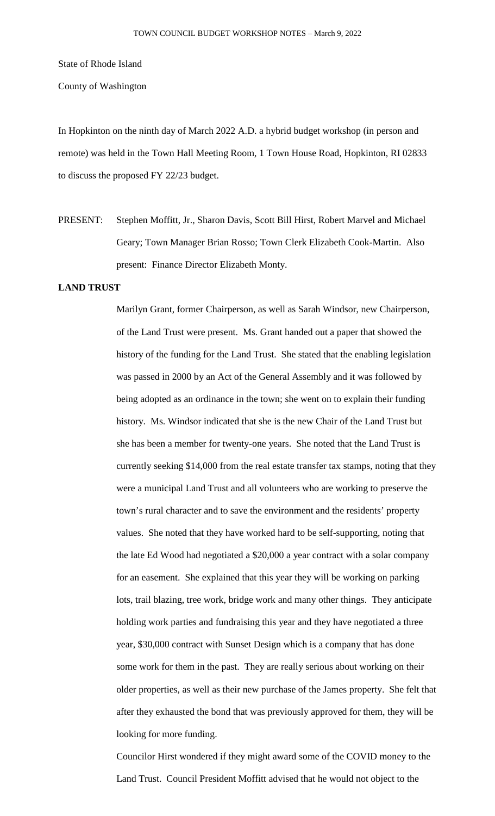State of Rhode Island

County of Washington

In Hopkinton on the ninth day of March 2022 A.D. a hybrid budget workshop (in person and remote) was held in the Town Hall Meeting Room, 1 Town House Road, Hopkinton, RI 02833 to discuss the proposed FY 22/23 budget.

PRESENT: Stephen Moffitt, Jr., Sharon Davis, Scott Bill Hirst, Robert Marvel and Michael Geary; Town Manager Brian Rosso; Town Clerk Elizabeth Cook-Martin. Also present: Finance Director Elizabeth Monty.

# **LAND TRUST**

Marilyn Grant, former Chairperson, as well as Sarah Windsor, new Chairperson, of the Land Trust were present. Ms. Grant handed out a paper that showed the history of the funding for the Land Trust. She stated that the enabling legislation was passed in 2000 by an Act of the General Assembly and it was followed by being adopted as an ordinance in the town; she went on to explain their funding history. Ms. Windsor indicated that she is the new Chair of the Land Trust but she has been a member for twenty-one years. She noted that the Land Trust is currently seeking \$14,000 from the real estate transfer tax stamps, noting that they were a municipal Land Trust and all volunteers who are working to preserve the town's rural character and to save the environment and the residents' property values. She noted that they have worked hard to be self-supporting, noting that the late Ed Wood had negotiated a \$20,000 a year contract with a solar company for an easement. She explained that this year they will be working on parking lots, trail blazing, tree work, bridge work and many other things. They anticipate holding work parties and fundraising this year and they have negotiated a three year, \$30,000 contract with Sunset Design which is a company that has done some work for them in the past. They are really serious about working on their older properties, as well as their new purchase of the James property. She felt that after they exhausted the bond that was previously approved for them, they will be looking for more funding.

Councilor Hirst wondered if they might award some of the COVID money to the Land Trust. Council President Moffitt advised that he would not object to the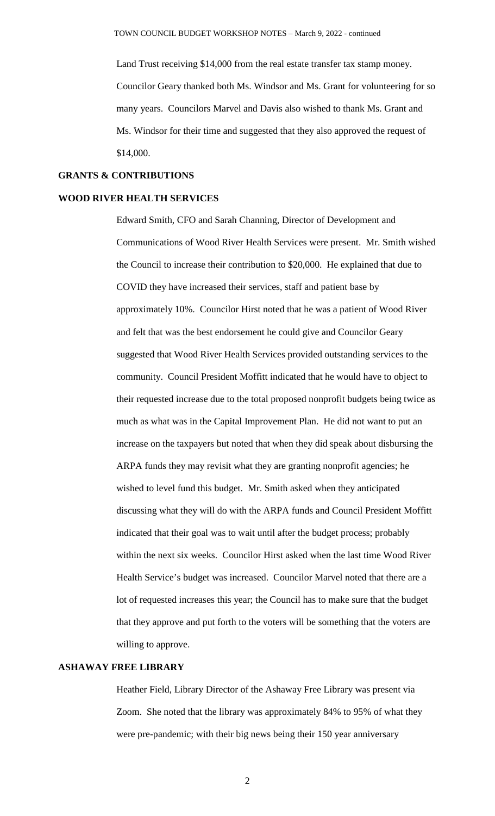Land Trust receiving \$14,000 from the real estate transfer tax stamp money. Councilor Geary thanked both Ms. Windsor and Ms. Grant for volunteering for so many years. Councilors Marvel and Davis also wished to thank Ms. Grant and Ms. Windsor for their time and suggested that they also approved the request of \$14,000.

### **GRANTS & CONTRIBUTIONS**

# **WOOD RIVER HEALTH SERVICES**

Edward Smith, CFO and Sarah Channing, Director of Development and Communications of Wood River Health Services were present. Mr. Smith wished the Council to increase their contribution to \$20,000. He explained that due to COVID they have increased their services, staff and patient base by approximately 10%. Councilor Hirst noted that he was a patient of Wood River and felt that was the best endorsement he could give and Councilor Geary suggested that Wood River Health Services provided outstanding services to the community. Council President Moffitt indicated that he would have to object to their requested increase due to the total proposed nonprofit budgets being twice as much as what was in the Capital Improvement Plan. He did not want to put an increase on the taxpayers but noted that when they did speak about disbursing the ARPA funds they may revisit what they are granting nonprofit agencies; he wished to level fund this budget. Mr. Smith asked when they anticipated discussing what they will do with the ARPA funds and Council President Moffitt indicated that their goal was to wait until after the budget process; probably within the next six weeks. Councilor Hirst asked when the last time Wood River Health Service's budget was increased. Councilor Marvel noted that there are a lot of requested increases this year; the Council has to make sure that the budget that they approve and put forth to the voters will be something that the voters are willing to approve.

# **ASHAWAY FREE LIBRARY**

Heather Field, Library Director of the Ashaway Free Library was present via Zoom. She noted that the library was approximately 84% to 95% of what they were pre-pandemic; with their big news being their 150 year anniversary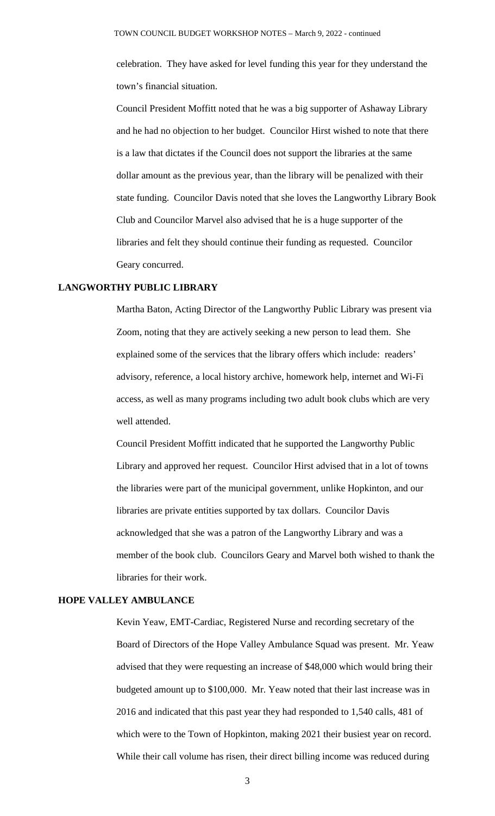celebration. They have asked for level funding this year for they understand the town's financial situation.

Council President Moffitt noted that he was a big supporter of Ashaway Library and he had no objection to her budget. Councilor Hirst wished to note that there is a law that dictates if the Council does not support the libraries at the same dollar amount as the previous year, than the library will be penalized with their state funding. Councilor Davis noted that she loves the Langworthy Library Book Club and Councilor Marvel also advised that he is a huge supporter of the libraries and felt they should continue their funding as requested. Councilor Geary concurred.

### **LANGWORTHY PUBLIC LIBRARY**

Martha Baton, Acting Director of the Langworthy Public Library was present via Zoom, noting that they are actively seeking a new person to lead them. She explained some of the services that the library offers which include: readers' advisory, reference, a local history archive, homework help, internet and Wi-Fi access, as well as many programs including two adult book clubs which are very well attended.

Council President Moffitt indicated that he supported the Langworthy Public Library and approved her request. Councilor Hirst advised that in a lot of towns the libraries were part of the municipal government, unlike Hopkinton, and our libraries are private entities supported by tax dollars. Councilor Davis acknowledged that she was a patron of the Langworthy Library and was a member of the book club. Councilors Geary and Marvel both wished to thank the libraries for their work.

### **HOPE VALLEY AMBULANCE**

Kevin Yeaw, EMT-Cardiac, Registered Nurse and recording secretary of the Board of Directors of the Hope Valley Ambulance Squad was present. Mr. Yeaw advised that they were requesting an increase of \$48,000 which would bring their budgeted amount up to \$100,000. Mr. Yeaw noted that their last increase was in 2016 and indicated that this past year they had responded to 1,540 calls, 481 of which were to the Town of Hopkinton, making 2021 their busiest year on record. While their call volume has risen, their direct billing income was reduced during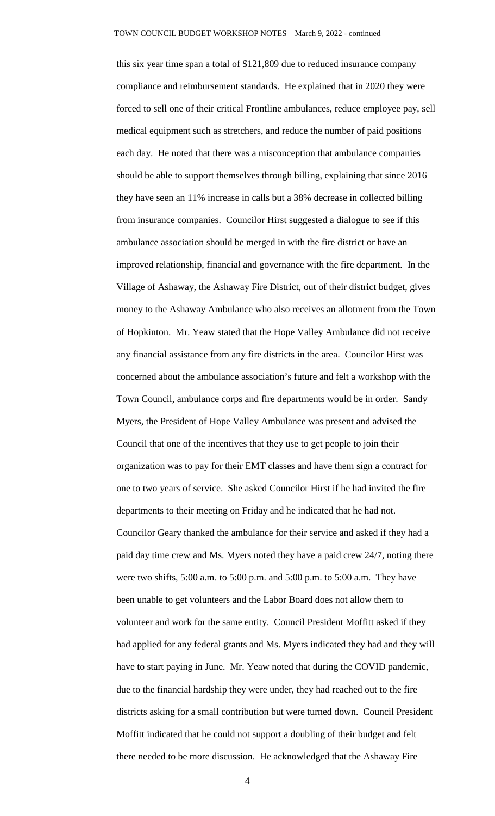this six year time span a total of \$121,809 due to reduced insurance company compliance and reimbursement standards. He explained that in 2020 they were forced to sell one of their critical Frontline ambulances, reduce employee pay, sell medical equipment such as stretchers, and reduce the number of paid positions each day. He noted that there was a misconception that ambulance companies should be able to support themselves through billing, explaining that since 2016 they have seen an 11% increase in calls but a 38% decrease in collected billing from insurance companies. Councilor Hirst suggested a dialogue to see if this ambulance association should be merged in with the fire district or have an improved relationship, financial and governance with the fire department. In the Village of Ashaway, the Ashaway Fire District, out of their district budget, gives money to the Ashaway Ambulance who also receives an allotment from the Town of Hopkinton. Mr. Yeaw stated that the Hope Valley Ambulance did not receive any financial assistance from any fire districts in the area. Councilor Hirst was concerned about the ambulance association's future and felt a workshop with the Town Council, ambulance corps and fire departments would be in order. Sandy Myers, the President of Hope Valley Ambulance was present and advised the Council that one of the incentives that they use to get people to join their organization was to pay for their EMT classes and have them sign a contract for one to two years of service. She asked Councilor Hirst if he had invited the fire departments to their meeting on Friday and he indicated that he had not. Councilor Geary thanked the ambulance for their service and asked if they had a paid day time crew and Ms. Myers noted they have a paid crew 24/7, noting there were two shifts, 5:00 a.m. to 5:00 p.m. and 5:00 p.m. to 5:00 a.m. They have been unable to get volunteers and the Labor Board does not allow them to volunteer and work for the same entity. Council President Moffitt asked if they had applied for any federal grants and Ms. Myers indicated they had and they will have to start paying in June. Mr. Yeaw noted that during the COVID pandemic, due to the financial hardship they were under, they had reached out to the fire districts asking for a small contribution but were turned down. Council President Moffitt indicated that he could not support a doubling of their budget and felt there needed to be more discussion. He acknowledged that the Ashaway Fire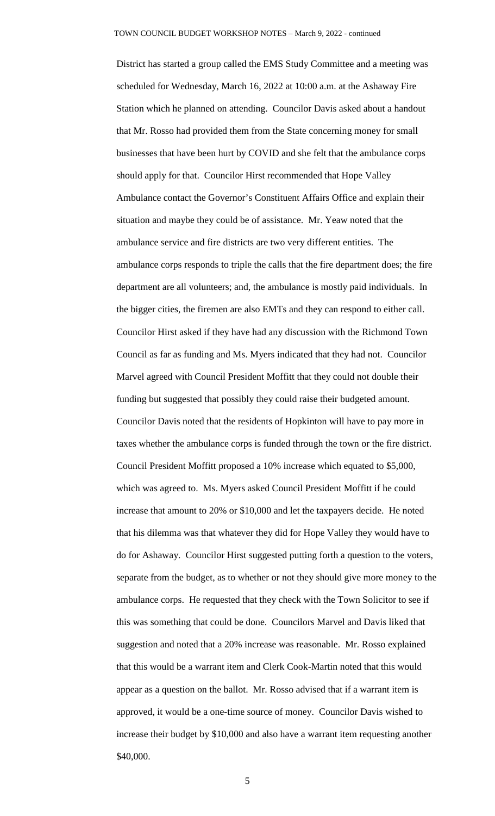District has started a group called the EMS Study Committee and a meeting was scheduled for Wednesday, March 16, 2022 at 10:00 a.m. at the Ashaway Fire Station which he planned on attending. Councilor Davis asked about a handout that Mr. Rosso had provided them from the State concerning money for small businesses that have been hurt by COVID and she felt that the ambulance corps should apply for that. Councilor Hirst recommended that Hope Valley Ambulance contact the Governor's Constituent Affairs Office and explain their situation and maybe they could be of assistance. Mr. Yeaw noted that the ambulance service and fire districts are two very different entities. The ambulance corps responds to triple the calls that the fire department does; the fire department are all volunteers; and, the ambulance is mostly paid individuals. In the bigger cities, the firemen are also EMTs and they can respond to either call. Councilor Hirst asked if they have had any discussion with the Richmond Town Council as far as funding and Ms. Myers indicated that they had not. Councilor Marvel agreed with Council President Moffitt that they could not double their funding but suggested that possibly they could raise their budgeted amount. Councilor Davis noted that the residents of Hopkinton will have to pay more in taxes whether the ambulance corps is funded through the town or the fire district. Council President Moffitt proposed a 10% increase which equated to \$5,000, which was agreed to. Ms. Myers asked Council President Moffitt if he could increase that amount to 20% or \$10,000 and let the taxpayers decide. He noted that his dilemma was that whatever they did for Hope Valley they would have to do for Ashaway. Councilor Hirst suggested putting forth a question to the voters, separate from the budget, as to whether or not they should give more money to the ambulance corps. He requested that they check with the Town Solicitor to see if this was something that could be done. Councilors Marvel and Davis liked that suggestion and noted that a 20% increase was reasonable. Mr. Rosso explained that this would be a warrant item and Clerk Cook-Martin noted that this would appear as a question on the ballot. Mr. Rosso advised that if a warrant item is approved, it would be a one-time source of money. Councilor Davis wished to increase their budget by \$10,000 and also have a warrant item requesting another \$40,000.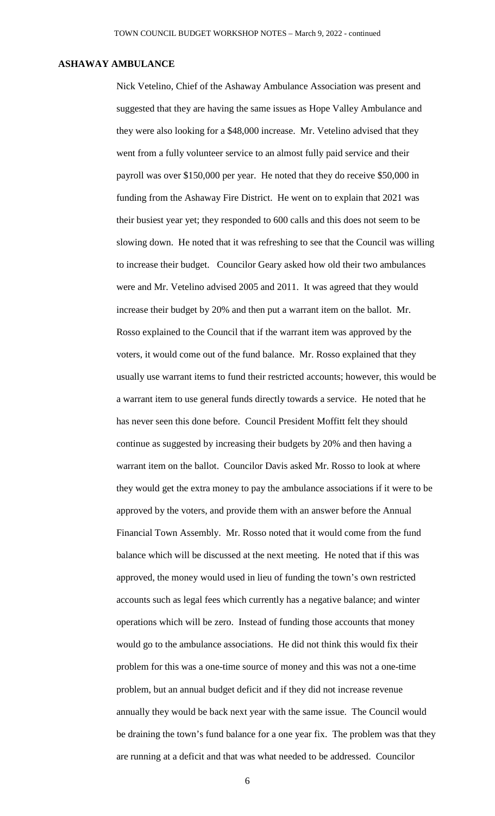### **ASHAWAY AMBULANCE**

Nick Vetelino, Chief of the Ashaway Ambulance Association was present and suggested that they are having the same issues as Hope Valley Ambulance and they were also looking for a \$48,000 increase. Mr. Vetelino advised that they went from a fully volunteer service to an almost fully paid service and their payroll was over \$150,000 per year. He noted that they do receive \$50,000 in funding from the Ashaway Fire District. He went on to explain that 2021 was their busiest year yet; they responded to 600 calls and this does not seem to be slowing down. He noted that it was refreshing to see that the Council was willing to increase their budget. Councilor Geary asked how old their two ambulances were and Mr. Vetelino advised 2005 and 2011. It was agreed that they would increase their budget by 20% and then put a warrant item on the ballot. Mr. Rosso explained to the Council that if the warrant item was approved by the voters, it would come out of the fund balance. Mr. Rosso explained that they usually use warrant items to fund their restricted accounts; however, this would be a warrant item to use general funds directly towards a service. He noted that he has never seen this done before. Council President Moffitt felt they should continue as suggested by increasing their budgets by 20% and then having a warrant item on the ballot. Councilor Davis asked Mr. Rosso to look at where they would get the extra money to pay the ambulance associations if it were to be approved by the voters, and provide them with an answer before the Annual Financial Town Assembly. Mr. Rosso noted that it would come from the fund balance which will be discussed at the next meeting. He noted that if this was approved, the money would used in lieu of funding the town's own restricted accounts such as legal fees which currently has a negative balance; and winter operations which will be zero. Instead of funding those accounts that money would go to the ambulance associations. He did not think this would fix their problem for this was a one-time source of money and this was not a one-time problem, but an annual budget deficit and if they did not increase revenue annually they would be back next year with the same issue. The Council would be draining the town's fund balance for a one year fix. The problem was that they are running at a deficit and that was what needed to be addressed. Councilor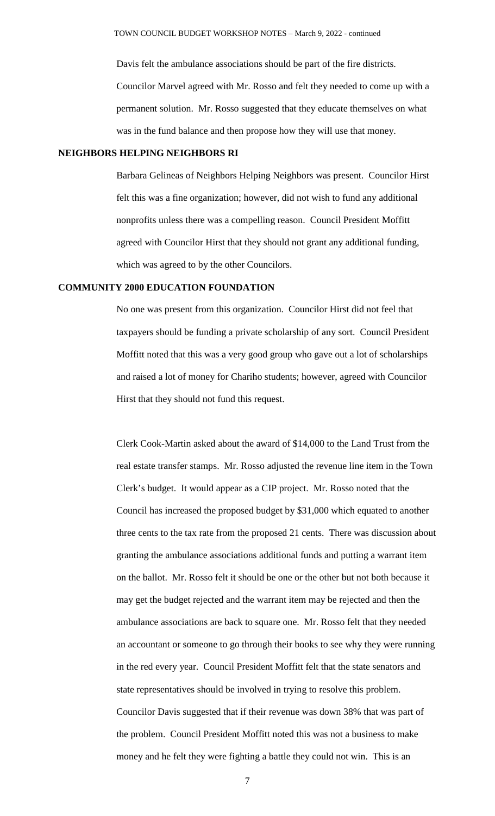Davis felt the ambulance associations should be part of the fire districts. Councilor Marvel agreed with Mr. Rosso and felt they needed to come up with a permanent solution. Mr. Rosso suggested that they educate themselves on what was in the fund balance and then propose how they will use that money.

### **NEIGHBORS HELPING NEIGHBORS RI**

Barbara Gelineas of Neighbors Helping Neighbors was present. Councilor Hirst felt this was a fine organization; however, did not wish to fund any additional nonprofits unless there was a compelling reason. Council President Moffitt agreed with Councilor Hirst that they should not grant any additional funding, which was agreed to by the other Councilors.

#### **COMMUNITY 2000 EDUCATION FOUNDATION**

No one was present from this organization. Councilor Hirst did not feel that taxpayers should be funding a private scholarship of any sort. Council President Moffitt noted that this was a very good group who gave out a lot of scholarships and raised a lot of money for Chariho students; however, agreed with Councilor Hirst that they should not fund this request.

Clerk Cook-Martin asked about the award of \$14,000 to the Land Trust from the real estate transfer stamps. Mr. Rosso adjusted the revenue line item in the Town Clerk's budget. It would appear as a CIP project. Mr. Rosso noted that the Council has increased the proposed budget by \$31,000 which equated to another three cents to the tax rate from the proposed 21 cents. There was discussion about granting the ambulance associations additional funds and putting a warrant item on the ballot. Mr. Rosso felt it should be one or the other but not both because it may get the budget rejected and the warrant item may be rejected and then the ambulance associations are back to square one. Mr. Rosso felt that they needed an accountant or someone to go through their books to see why they were running in the red every year. Council President Moffitt felt that the state senators and state representatives should be involved in trying to resolve this problem. Councilor Davis suggested that if their revenue was down 38% that was part of the problem. Council President Moffitt noted this was not a business to make money and he felt they were fighting a battle they could not win. This is an